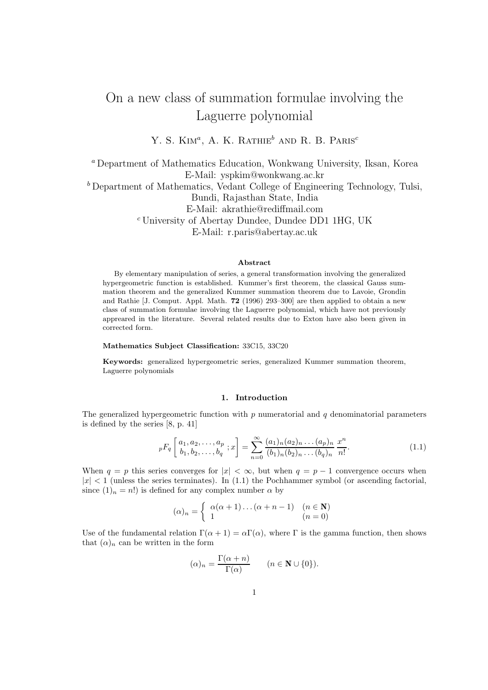# On a new class of summation formulae involving the Laguerre polynomial

Y. S.  $\text{Kim}^a$ , A. K. Rathie<sup>b</sup> and R. B. Paris<sup>c</sup>

<sup>a</sup> Department of Mathematics Education, Wonkwang University, Iksan, Korea E-Mail: yspkim@wonkwang.ac.kr <sup>b</sup> Department of Mathematics, Vedant College of Engineering Technology, Tulsi, Bundi, Rajasthan State, India E-Mail: akrathie@rediffmail.com <sup>c</sup> University of Abertay Dundee, Dundee DD1 1HG, UK E-Mail: r.paris@abertay.ac.uk

#### Abstract

By elementary manipulation of series, a general transformation involving the generalized hypergeometric function is established. Kummer's first theorem, the classical Gauss summation theorem and the generalized Kummer summation theorem due to Lavoie, Grondin and Rathie [J. Comput. Appl. Math. 72 (1996) 293–300] are then applied to obtain a new class of summation formulae involving the Laguerre polynomial, which have not previously appreared in the literature. Several related results due to Exton have also been given in corrected form.

#### Mathematics Subject Classification: 33C15, 33C20

Keywords: generalized hypergeometric series, generalized Kummer summation theorem, Laguerre polynomials

## 1. Introduction

The generalized hypergeometric function with  $p$  numeratorial and  $q$  denominatorial parameters is defined by the series [8, p. 41]

$$
{}_{p}F_{q}\left[\begin{array}{c} a_{1}, a_{2}, \ldots, a_{p} \\ b_{1}, b_{2}, \ldots, b_{q} \end{array}; x\right] = \sum_{n=0}^{\infty} \frac{(a_{1})_{n}(a_{2})_{n} \ldots (a_{p})_{n}}{(b_{1})_{n}(b_{2})_{n} \ldots (b_{q})_{n}} \frac{x^{n}}{n!}.
$$
\n(1.1)

When  $q = p$  this series converges for  $|x| < \infty$ , but when  $q = p - 1$  convergence occurs when  $|x| < 1$  (unless the series terminates). In (1.1) the Pochhammer symbol (or ascending factorial, since  $(1)_n = n!$ ) is defined for any complex number  $\alpha$  by

$$
(\alpha)_n = \begin{cases} \alpha(\alpha+1)\dots(\alpha+n-1) & (n \in \mathbb{N})\\ 1 & (n=0) \end{cases}
$$

Use of the fundamental relation  $\Gamma(\alpha + 1) = \alpha \Gamma(\alpha)$ , where  $\Gamma$  is the gamma function, then shows that  $(\alpha)_n$  can be written in the form

$$
(\alpha)_n = \frac{\Gamma(\alpha + n)}{\Gamma(\alpha)} \qquad (n \in \mathbf{N} \cup \{0\}).
$$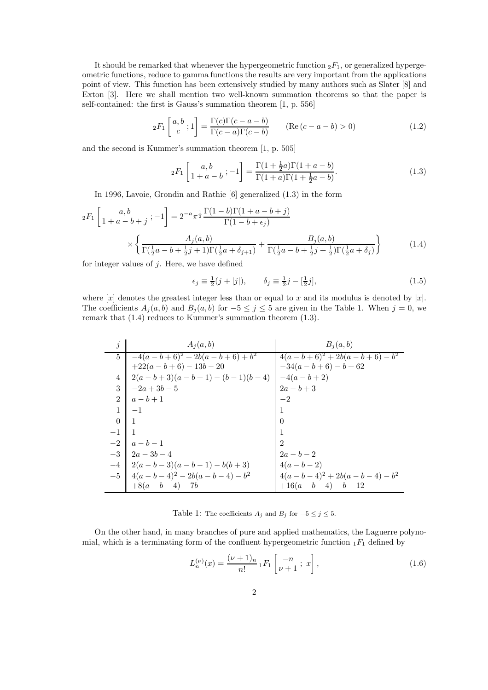It should be remarked that whenever the hypergeometric function  ${}_2F_1$ , or generalized hypergeometric functions, reduce to gamma functions the results are very important from the applications point of view. This function has been extensively studied by many authors such as Slater [8] and Exton [3]. Here we shall mention two well-known summation theorems so that the paper is self-contained: the first is Gauss's summation theorem [1, p. 556]

$$
{}_2F_1\left[\begin{array}{c} a,b \\ c \end{array}; 1\right] = \frac{\Gamma(c)\Gamma(c-a-b)}{\Gamma(c-a)\Gamma(c-b)} \qquad (\text{Re}\,(c-a-b) > 0) \tag{1.2}
$$

and the second is Kummer's summation theorem [1, p. 505]

$$
{}_2F_1\left[\begin{array}{c} a,b\\ 1+a-b \end{array};-1\right] = \frac{\Gamma(1+\frac{1}{2}a)\Gamma(1+a-b)}{\Gamma(1+a)\Gamma(1+\frac{1}{2}a-b)}.\tag{1.3}
$$

In 1996, Lavoie, Grondin and Rathie [6] generalized (1.3) in the form

$$
{}_{2}F_{1}\left[1+a-b+j; -1\right] = 2^{-a}\pi^{\frac{1}{2}}\frac{\Gamma(1-b)\Gamma(1+a-b+j)}{\Gamma(1-b+\epsilon_{j})} \times \left\{\frac{A_{j}(a,b)}{\Gamma(\frac{1}{2}a-b+\frac{1}{2}j+1)\Gamma(\frac{1}{2}a+\delta_{j+1})} + \frac{B_{j}(a,b)}{\Gamma(\frac{1}{2}a-b+\frac{1}{2}j+\frac{1}{2})\Gamma(\frac{1}{2}a+\delta_{j})}\right\}
$$
(1.4)

for integer values of  $j$ . Here, we have defined

$$
\epsilon_j \equiv \frac{1}{2}(j + |j|), \qquad \delta_j \equiv \frac{1}{2}j - [\frac{1}{2}j], \tag{1.5}
$$

where  $[x]$  denotes the greatest integer less than or equal to x and its modulus is denoted by  $|x|$ . The coefficients  $A_j(a, b)$  and  $B_j(a, b)$  for  $-5 \leq j \leq 5$  are given in the Table 1. When  $j = 0$ , we remark that (1.4) reduces to Kummer's summation theorem (1.3).

|                | $A_i(a,b)$                             | $B_i(a, b)$                    |
|----------------|----------------------------------------|--------------------------------|
|                | 5    $-4(a-b+6)^2 + 2b(a-b+6) + b^2$   | $4(a-b+6)^2 + 2b(a-b+6) - b^2$ |
|                | $+22(a - b + 6) - 13b - 20$            | $-34(a - b + 6) - b + 62$      |
|                | $2(a-b+3)(a-b+1)-(b-1)(b-4)$           | $-4(a-b+2)$                    |
|                | $-2a+3b-5$                             | $2a - b + 3$                   |
|                | $a-b+1$                                |                                |
|                |                                        |                                |
| $\overline{0}$ |                                        |                                |
|                |                                        |                                |
|                | $a-b-1$                                | $\overline{2}$                 |
|                | $2a-3b-4$                              | $2a - b - 2$                   |
|                | $  2(a - b - 3)(a - b - 1) - b(b + 3)$ | $4(a - b - 2)$                 |
|                | $-5$   $4(a-b-4)^2 - 2b(a-b-4) - b^2$  | $4(a-b-4)^2 + 2b(a-b-4) - b^2$ |
|                | $+8(a - b - 4) - 7b$                   | $+16(a - b - 4) - b + 12$      |

Table 1: The coefficients  $A_j$  and  $B_j$  for  $-5 \leq j \leq 5$ .

On the other hand, in many branches of pure and applied mathematics, the Laguerre polynomial, which is a terminating form of the confluent hypergeometric function  $_1F_1$  defined by

$$
L_n^{(\nu)}(x) = \frac{(\nu+1)_n}{n!} {}_1F_1\left[\begin{array}{c} -n\\ \nu+1 \end{array}; x\right],
$$
\n(1.6)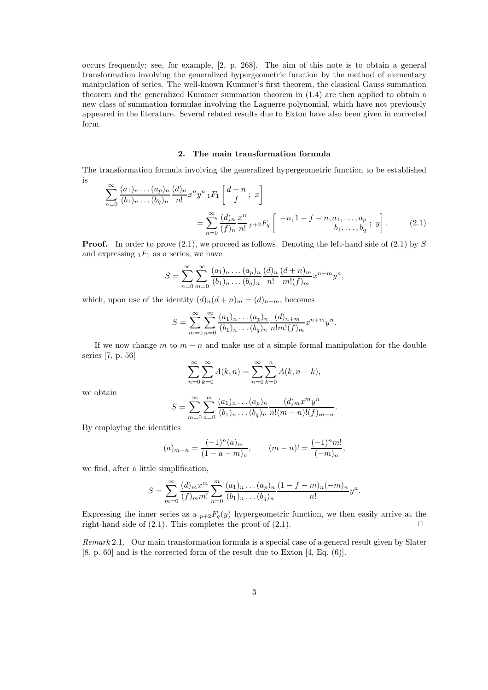occurs frequently; see, for example, [2, p. 268]. The aim of this note is to obtain a general transformation involving the generalized hypergeometric function by the method of elementary manipulation of series. The well-known Kummer's first theorem, the classical Gauss summation theorem and the generalized Kummer summation theorem in (1.4) are then applied to obtain a new class of summation formulae involving the Laguerre polynomial, which have not previously appeared in the literature. Several related results due to Exton have also been given in corrected form.

#### 2. The main transformation formula

The transformation formula involving the generalized hypergeometric function to be established is

$$
\sum_{n=0}^{\infty} \frac{(a_1)_n \dots (a_p)_n}{(b_1)_n \dots (b_q)_n} \frac{(d)_n}{n!} x^n y^n {}_1F_1 \left[ \begin{array}{c} d+n \\ f \end{array} ; x \right]
$$
\n
$$
= \sum_{n=0}^{\infty} \frac{(d)_n}{(f)_n} \frac{x^n}{n!} p + 2F_q \left[ \begin{array}{c} -n, 1-f-n, a_1, \dots, a_p \\ b_1, \dots, b_q \end{array} ; y \right].
$$
\n(2.1)

**Proof.** In order to prove  $(2.1)$ , we proceed as follows. Denoting the left-hand side of  $(2.1)$  by S and expressing  $_1F_1$  as a series, we have

$$
S = \sum_{n=0}^{\infty} \sum_{m=0}^{\infty} \frac{(a_1)_n \dots (a_p)_n}{(b_1)_n \dots (b_q)_n} \frac{(d)_n}{n!} \frac{(d+n)_m}{m!(f)_m} x^{n+m} y^n,
$$

which, upon use of the identity  $(d)_n(d + n)_m = (d)_{n+m}$ , becomes

$$
S = \sum_{m=0}^{\infty} \sum_{n=0}^{\infty} \frac{(a_1)_n \dots (a_p)_n}{(b_1)_n \dots (b_q)_n} \frac{(d)_{n+m}}{n!m!(f)_m} x^{n+m} y^n.
$$

If we now change  $m$  to  $m - n$  and make use of a simple formal manipulation for the double series [7, p. 56]

$$
\sum_{n=0}^{\infty} \sum_{k=0}^{\infty} A(k, n) = \sum_{n=0}^{\infty} \sum_{k=0}^{n} A(k, n-k),
$$

we obtain

$$
S = \sum_{m=0}^{\infty} \sum_{n=0}^{m} \frac{(a_1)_n \dots (a_p)_n}{(b_1)_n \dots (b_q)_n} \frac{(d)_m x^m y^n}{n!(m-n)!(f)_{m-n}}.
$$

By employing the identities

$$
(a)_{m-n} = \frac{(-1)^n (a)_m}{(1 - a - m)_n}, \qquad (m-n)! = \frac{(-1)^n m!}{(-m)_n},
$$

we find, after a little simplification,

$$
S = \sum_{m=0}^{\infty} \frac{(d)_m x^m}{(f)_m m!} \sum_{n=0}^m \frac{(a_1)_n \dots (a_p)_n}{(b_1)_n \dots (b_q)_n} \frac{(1 - f - m)_n (-m)_n}{n!} y^n.
$$

Expressing the inner series as a  $_{p+2}F_q(y)$  hypergeometric function, we then easily arrive at the right-hand side of  $(2.1)$ . This completes the proof of  $(2.1)$ .

Remark 2.1. Our main transformation formula is a special case of a general result given by Slater [8, p. 60] and is the corrected form of the result due to Exton [4, Eq. (6)].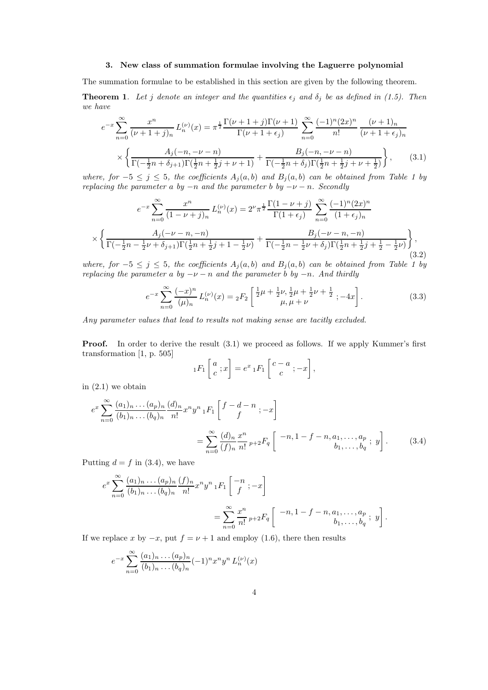#### 3. New class of summation formulae involving the Laguerre polynomial

The summation formulae to be established in this section are given by the following theorem.

**Theorem 1.** Let j denote an integer and the quantities  $\epsilon_j$  and  $\delta_j$  be as defined in (1.5). Then we have

$$
e^{-x} \sum_{n=0}^{\infty} \frac{x^n}{(\nu+1+j)_n} L_n^{(\nu)}(x) = \pi^{\frac{1}{2}} \frac{\Gamma(\nu+1+j)\Gamma(\nu+1)}{\Gamma(\nu+1+\epsilon_j)} \sum_{n=0}^{\infty} \frac{(-1)^n (2x)^n}{n!} \frac{(\nu+1)_n}{(\nu+1+\epsilon_j)_n}
$$

$$
\times \left\{ \frac{A_j(-n, -\nu - n)}{\Gamma(-\frac{1}{2}n + \delta_{j+1})\Gamma(\frac{1}{2}n + \frac{1}{2}j + \nu + 1)} + \frac{B_j(-n, -\nu - n)}{\Gamma(-\frac{1}{2}n + \delta_j)\Gamma(\frac{1}{2}n + \frac{1}{2}j + \nu + \frac{1}{2})} \right\},
$$
(3.1)

where, for  $-5 \leq j \leq 5$ , the coefficients  $A_j(a, b)$  and  $B_j(a, b)$  can be obtained from Table 1 by replacing the parameter a by  $-n$  and the parameter b by  $-\nu - n$ . Secondly

$$
e^{-x} \sum_{n=0}^{\infty} \frac{x^n}{(1 - \nu + j)_n} L_n^{(\nu)}(x) = 2^{\nu} \pi^{\frac{1}{2}} \frac{\Gamma(1 - \nu + j)}{\Gamma(1 + \epsilon_j)} \sum_{n=0}^{\infty} \frac{(-1)^n (2x)^n}{(1 + \epsilon_j)_n}
$$

$$
\times \left\{ \frac{A_j(-\nu - n, -n)}{\Gamma(-\frac{1}{2}n - \frac{1}{2}\nu + \delta_{j+1})\Gamma(\frac{1}{2}n + \frac{1}{2}j + 1 - \frac{1}{2}\nu)} + \frac{B_j(-\nu - n, -n)}{\Gamma(-\frac{1}{2}n - \frac{1}{2}\nu + \delta_j)\Gamma(\frac{1}{2}n + \frac{1}{2}j + \frac{1}{2} - \frac{1}{2}\nu)} \right\},\tag{3.2}
$$

where, for  $-5 \leq j \leq 5$ , the coefficients  $A_i(a, b)$  and  $B_i(a, b)$  can be obtained from Table 1 by replacing the parameter a by  $-\nu - n$  and the parameter b by  $-n$ . And thirdly

$$
e^{-x} \sum_{n=0}^{\infty} \frac{(-x)^n}{(\mu)_n} L_n^{(\nu)}(x) = {}_2F_2 \left[ \frac{\frac{1}{2}\mu + \frac{1}{2}\nu, \frac{1}{2}\mu + \frac{1}{2}\nu + \frac{1}{2}}{\mu, \mu + \nu}; -4x \right].
$$
 (3.3)

Any parameter values that lead to results not making sense are tacitly excluded.

**Proof.** In order to derive the result  $(3.1)$  we proceed as follows. If we apply Kummer's first transformation [1, p. 505]

$$
{}_1F_1\left[\begin{array}{c} a \\ c \end{array};x\right] = e^x {}_1F_1\left[\begin{array}{c} c-a \\ c \end{array};-x\right],
$$

in  $(2.1)$  we obtain

$$
e^{x} \sum_{n=0}^{\infty} \frac{(a_1)_n \dots (a_p)_n}{(b_1)_n \dots (b_q)_n} \frac{(d)_n}{n!} x^n y^n {}_1F_1 \left[ f - d - n \atop f \right]
$$
  
= 
$$
\sum_{n=0}^{\infty} \frac{(d)_n}{(f)_n} \frac{x^n}{n!} p + 2F_q \left[ -n, 1 - f - n, a_1, \dots, a_p \atop b_1, \dots, b_q \right] .
$$
 (3.4)

Putting  $d = f$  in (3.4), we have

$$
e^x \sum_{n=0}^{\infty} \frac{(a_1)_n \dots (a_p)_n}{(b_1)_n \dots (b_q)_n} \frac{(f)_n}{n!} x^n y^n {}_1F_1 \left[ \begin{array}{c} -n \\ f \end{array}; -x \right]
$$
  
= 
$$
\sum_{n=0}^{\infty} \frac{x^n}{n!} p + 2F_q \left[ \begin{array}{c} -n, 1 - f - n, a_1, \dots, a_p \\ b_1, \dots, b_q \end{array}; y \right].
$$

If we replace x by  $-x$ , put  $f = \nu + 1$  and employ (1.6), there then results

$$
e^{-x} \sum_{n=0}^{\infty} \frac{(a_1)_n \dots (a_p)_n}{(b_1)_n \dots (b_q)_n} (-1)^n x^n y^n L_n^{(\nu)}(x)
$$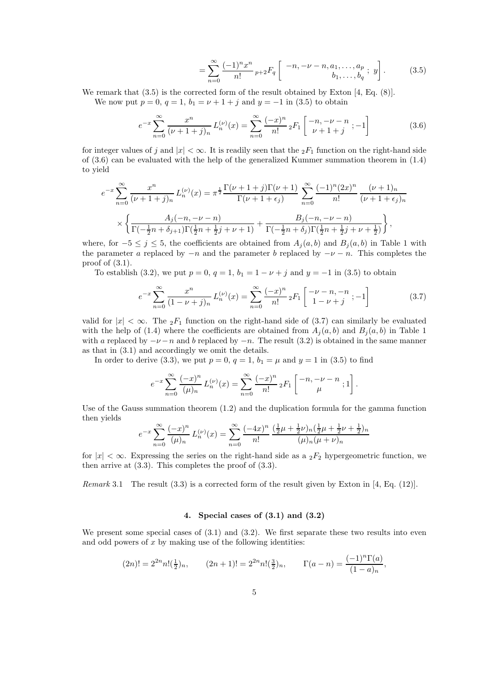$$
= \sum_{n=0}^{\infty} \frac{(-1)^n x^n}{n!} p + 2F_q \left[ \begin{array}{c} -n, -\nu - n, a_1, \dots, a_p \\ b_1, \dots, b_q \end{array}; y \right].
$$
 (3.5)

We remark that  $(3.5)$  is the corrected form of the result obtained by Exton [4, Eq.  $(8)$ ].

We now put  $p = 0$ ,  $q = 1$ ,  $b_1 = \nu + 1 + j$  and  $y = -1$  in (3.5) to obtain

$$
e^{-x} \sum_{n=0}^{\infty} \frac{x^n}{(\nu+1+j)_n} L_n^{(\nu)}(x) = \sum_{n=0}^{\infty} \frac{(-x)^n}{n!} {}_2F_1 \left[ \begin{array}{c} -n, -\nu - n \\ \nu + 1 + j \end{array}; -1 \right] \tag{3.6}
$$

for integer values of j and  $|x| < \infty$ . It is readily seen that the  $_2F_1$  function on the right-hand side of (3.6) can be evaluated with the help of the generalized Kummer summation theorem in (1.4) to yield

$$
e^{-x} \sum_{n=0}^{\infty} \frac{x^n}{(\nu+1+j)_n} L_n^{(\nu)}(x) = \pi^{\frac{1}{2}} \frac{\Gamma(\nu+1+j)\Gamma(\nu+1)}{\Gamma(\nu+1+\epsilon_j)} \sum_{n=0}^{\infty} \frac{(-1)^n (2x)^n}{n!} \frac{(\nu+1)_n}{(\nu+1+\epsilon_j)_n}
$$

$$
\times \left\{ \frac{A_j(-n, -\nu - n)}{\Gamma(-\frac{1}{2}n + \delta_{j+1})\Gamma(\frac{1}{2}n + \frac{1}{2}j + \nu + 1)} + \frac{B_j(-n, -\nu - n)}{\Gamma(-\frac{1}{2}n + \delta_j)\Gamma(\frac{1}{2}n + \frac{1}{2}j + \nu + \frac{1}{2})} \right\},
$$

where, for  $-5 \leq j \leq 5$ , the coefficients are obtained from  $A_j(a, b)$  and  $B_j(a, b)$  in Table 1 with the parameter a replaced by  $-n$  and the parameter b replaced by  $-\nu - n$ . This completes the proof of  $(3.1)$ .

To establish (3.2), we put  $p = 0$ ,  $q = 1$ ,  $b_1 = 1 - \nu + j$  and  $y = -1$  in (3.5) to obtain

$$
e^{-x} \sum_{n=0}^{\infty} \frac{x^n}{(1 - \nu + j)_n} L_n^{(\nu)}(x) = \sum_{n=0}^{\infty} \frac{(-x)^n}{n!} {}_2F_1 \left[ \begin{array}{c} -\nu - n, -n \\ 1 - \nu + j \end{array}; -1 \right] \tag{3.7}
$$

valid for  $|x| < \infty$ . The  $_2F_1$  function on the right-hand side of (3.7) can similarly be evaluated with the help of (1.4) where the coefficients are obtained from  $A_i(a, b)$  and  $B_i(a, b)$  in Table 1 with a replaced by  $-\nu - n$  and b replaced by  $-n$ . The result (3.2) is obtained in the same manner as that in (3.1) and accordingly we omit the details.

In order to derive (3.3), we put  $p = 0$ ,  $q = 1$ ,  $b_1 = \mu$  and  $y = 1$  in (3.5) to find

$$
e^{-x} \sum_{n=0}^{\infty} \frac{(-x)^n}{(\mu)_n} L_n^{(\nu)}(x) = \sum_{n=0}^{\infty} \frac{(-x)^n}{n!} {}_2F_1 \left[ \begin{array}{c} -n, -\nu - n \\ \mu \end{array}; 1 \right].
$$

Use of the Gauss summation theorem (1.2) and the duplication formula for the gamma function then yields

$$
e^{-x} \sum_{n=0}^{\infty} \frac{(-x)^n}{(\mu)_n} L_n^{(\nu)}(x) = \sum_{n=0}^{\infty} \frac{(-4x)^n}{n!} \frac{(\frac{1}{2}\mu + \frac{1}{2}\nu)_n(\frac{1}{2}\mu + \frac{1}{2}\nu + \frac{1}{2})_n}{(\mu)_n(\mu + \nu)_n}
$$

for  $|x| < \infty$ . Expressing the series on the right-hand side as a  ${}_2F_2$  hypergeometric function, we then arrive at  $(3.3)$ . This completes the proof of  $(3.3)$ .

*Remark* 3.1 The result  $(3.3)$  is a corrected form of the result given by Exton in [4, Eq. (12)].

### 4. Special cases of (3.1) and (3.2)

We present some special cases of  $(3.1)$  and  $(3.2)$ . We first separate these two results into even and odd powers of  $x$  by making use of the following identities:

$$
(2n)! = 2^{2n} n! \left(\frac{1}{2}\right)n, \qquad (2n+1)! = 2^{2n} n! \left(\frac{3}{2}\right)n, \qquad \Gamma(a-n) = \frac{(-1)^n \Gamma(a)}{(1-a)_n},
$$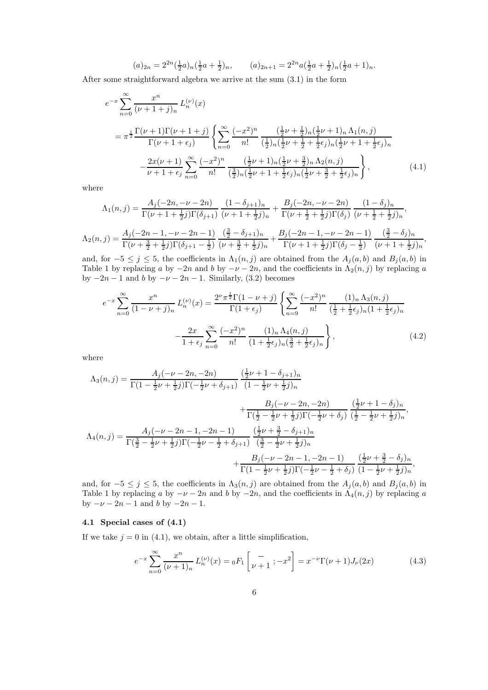$$
(a)_{2n} = 2^{2n} \left(\frac{1}{2}a\right)_n \left(\frac{1}{2}a + \frac{1}{2}\right)_n, \qquad (a)_{2n+1} = 2^{2n} a \left(\frac{1}{2}a + \frac{1}{2}\right)_n \left(\frac{1}{2}a + 1\right)_n.
$$

After some straightforward algebra we arrive at the sum (3.1) in the form

$$
e^{-x} \sum_{n=0}^{\infty} \frac{x^n}{(\nu+1+j)_n} L_n^{(\nu)}(x)
$$
  
=  $\pi^{\frac{1}{2}} \frac{\Gamma(\nu+1)\Gamma(\nu+1+j)}{\Gamma(\nu+1+\epsilon_j)} \left\{ \sum_{n=0}^{\infty} \frac{(-x^2)^n}{n!} \frac{(\frac{1}{2}\nu+\frac{1}{2})_n(\frac{1}{2}\nu+1)_n \Lambda_1(n,j)}{(\frac{1}{2})_n(\frac{1}{2}\nu+\frac{1}{2}+\frac{1}{2}\epsilon_j)_n(\frac{1}{2}\nu+1+\frac{1}{2}\epsilon_j)_n} -\frac{2x(\nu+1)}{\nu+1+\epsilon_j} \sum_{n=0}^{\infty} \frac{(-x^2)^n}{n!} \frac{(\frac{1}{2}\nu+1)_n(\frac{1}{2}\nu+\frac{3}{2})_n \Lambda_2(n,j)}{(\frac{3}{2})_n(\frac{1}{2}\nu+1+\frac{1}{2}\epsilon_j)_n(\frac{1}{2}\nu+\frac{3}{2}+\frac{1}{2}\epsilon_j)_n} \right\},$  (4.1)

where

$$
\Lambda_1(n,j) = \frac{A_j(-2n, -\nu - 2n)}{\Gamma(\nu + 1 + \frac{1}{2}j)\Gamma(\delta_{j+1})} \frac{(1 - \delta_{j+1})_n}{(\nu + 1 + \frac{1}{2}j)_n} + \frac{B_j(-2n, -\nu - 2n)}{\Gamma(\nu + \frac{1}{2} + \frac{1}{2}j)\Gamma(\delta_j)} \frac{(1 - \delta_j)_n}{(\nu + \frac{1}{2} + \frac{1}{2}j)_n},
$$
  

$$
\Lambda_2(n,j) = \frac{A_j(-2n - 1, -\nu - 2n - 1)}{\Gamma(\nu + \frac{3}{2} + \frac{1}{2}j)\Gamma(\delta_{j+1} - \frac{1}{2})} \frac{(\frac{3}{2} - \delta_{j+1})_n}{(\nu + \frac{3}{2} + \frac{1}{2}j)_n} + \frac{B_j(-2n - 1, -\nu - 2n - 1)}{\Gamma(\nu + 1 + \frac{1}{2}j)\Gamma(\delta_j - \frac{1}{2})} \frac{(\frac{3}{2} - \delta_j)_n}{(\nu + 1 + \frac{1}{2}j)_n},
$$

and, for  $-5 \le j \le 5$ , the coefficients in  $\Lambda_1(n,j)$  are obtained from the  $A_j(a,b)$  and  $B_j(a,b)$  in Table 1 by replacing a by  $-2n$  and b by  $-\nu - 2n$ , and the coefficients in  $\Lambda_2(n, j)$  by replacing a by  $-2n-1$  and b by  $-\nu - 2n - 1$ . Similarly, (3.2) becomes

$$
e^{-x} \sum_{n=0}^{\infty} \frac{x^n}{(1 - \nu + j)_n} L_n^{(\nu)}(x) = \frac{2^{\nu} \pi^{\frac{1}{2}} \Gamma(1 - \nu + j)}{\Gamma(1 + \epsilon_j)} \left\{ \sum_{n=9}^{\infty} \frac{(-x^2)^n}{n!} \frac{(1)_n \Lambda_3(n, j)}{(\frac{1}{2} + \frac{1}{2}\epsilon_j)_n (1 + \frac{1}{2}\epsilon_j)_n} -\frac{2x}{1 + \epsilon_j} \sum_{n=0}^{\infty} \frac{(-x^2)^n}{n!} \frac{(1)_n \Lambda_4(n, j)}{(1 + \frac{1}{2}\epsilon_j)_n (\frac{3}{2} + \frac{1}{2}\epsilon_j)_n} \right\},
$$
(4.2)

where

$$
\Lambda_{3}(n,j) = \frac{A_{j}(-\nu - 2n, -2n)}{\Gamma(1 - \frac{1}{2}\nu + \frac{1}{2}j)\Gamma(-\frac{1}{2}\nu + \delta_{j+1})} \frac{(\frac{1}{2}\nu + 1 - \delta_{j+1})_{n}}{(1 - \frac{1}{2}\nu + \frac{1}{2}j)_{n}} + \frac{B_{j}(-\nu - 2n, -2n)}{\Gamma(\frac{1}{2} - \frac{1}{2}\nu + \frac{1}{2}j)\Gamma(-\frac{1}{2}\nu + \delta_{j})} \frac{(\frac{1}{2}\nu + 1 - \delta_{j})_{n}}{(\frac{1}{2} - \frac{1}{2}\nu + \frac{1}{2}j)_{n}},
$$
  

$$
\Lambda_{4}(n,j) = \frac{A_{j}(-\nu - 2n - 1, -2n - 1)}{\Gamma(\frac{3}{2} - \frac{1}{2}\nu + \frac{1}{2}j)\Gamma(-\frac{1}{2}\nu - \frac{1}{2} + \delta_{j+1})} \frac{(\frac{1}{2}\nu + \frac{3}{2} - \delta_{j+1})_{n}}{(\frac{3}{2} - \frac{1}{2}\nu + \frac{1}{2}j)_{n}} + \frac{B_{j}(-\nu - 2n - 1, -2n - 1)}{\Gamma(1 - \frac{1}{2}\nu + \frac{1}{2}j)\Gamma(-\frac{1}{2}\nu - \frac{1}{2} + \delta_{j})} \frac{(\frac{1}{2}\nu + \frac{3}{2} - \delta_{j})_{n}}{(1 - \frac{1}{2}\nu + \frac{1}{2}j)_{n}},
$$

and, for  $-5 \leq j \leq 5$ , the coefficients in  $\Lambda_3(n, j)$  are obtained from the  $A_j(a, b)$  and  $B_j(a, b)$  in Table 1 by replacing a by  $-\nu - 2n$  and b by  $-2n$ , and the coefficients in  $\Lambda_4(n, j)$  by replacing a by  $-\nu - 2n - 1$  and b by  $-2n - 1$ .

# 4.1 Special cases of (4.1)

If we take  $j = 0$  in (4.1), we obtain, after a little simplification,

$$
e^{-x} \sum_{n=0}^{\infty} \frac{x^n}{(\nu+1)_n} L_n^{(\nu)}(x) = {}_0F_1 \left[ \begin{array}{c} - \\ \nu+1 \end{array}; -x^2 \right] = x^{-\nu} \Gamma(\nu+1) J_{\nu}(2x) \tag{4.3}
$$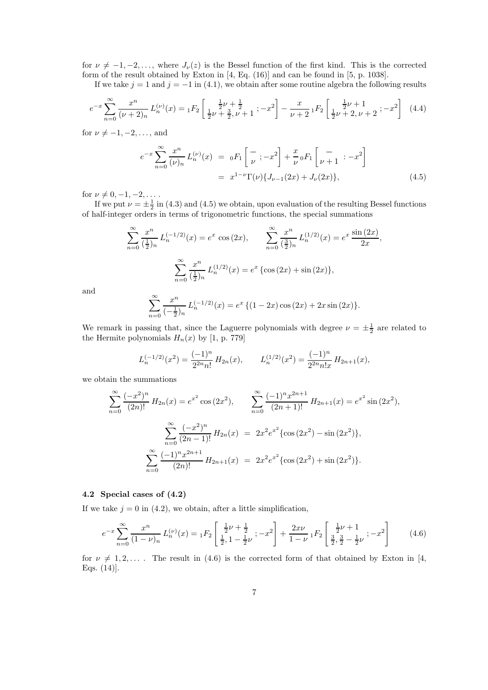for  $\nu \neq -1, -2, \ldots$ , where  $J_{\nu}(z)$  is the Bessel function of the first kind. This is the corrected form of the result obtained by Exton in [4, Eq. (16)] and can be found in [5, p. 1038].

If we take  $j = 1$  and  $j = -1$  in (4.1), we obtain after some routine algebra the following results

$$
e^{-x} \sum_{n=0}^{\infty} \frac{x^n}{(\nu+2)_n} L_n^{(\nu)}(x) = {}_1F_2 \left[ \frac{\frac{1}{2}\nu+\frac{1}{2}}{\frac{1}{2}\nu+\frac{3}{2}, \nu+1}; -x^2 \right] - \frac{x}{\nu+2} {}_1F_2 \left[ \frac{\frac{1}{2}\nu+1}{\frac{1}{2}\nu+2, \nu+2}; -x^2 \right] \tag{4.4}
$$

for  $\nu \neq -1, -2, \ldots$ , and

$$
e^{-x} \sum_{n=0}^{\infty} \frac{x^n}{(\nu)_n} L_n^{(\nu)}(x) = 0 F_1 \left[ \frac{-}{\nu}; -x^2 \right] + \frac{x}{\nu} 0 F_1 \left[ \frac{-}{\nu+1} : -x^2 \right]
$$
  
=  $x^{1-\nu} \Gamma(\nu) \{ J_{\nu-1}(2x) + J_{\nu}(2x) \},$  (4.5)

for  $\nu \neq 0, -1, -2, \ldots$ .

If we put  $\nu = \pm \frac{1}{2}$  in (4.3) and (4.5) we obtain, upon evaluation of the resulting Bessel functions of half-integer orders in terms of trigonometric functions, the special summations

$$
\sum_{n=0}^{\infty} \frac{x^n}{(\frac{1}{2})_n} L_n^{(-1/2)}(x) = e^x \cos(2x), \qquad \sum_{n=0}^{\infty} \frac{x^n}{(\frac{3}{2})_n} L_n^{(1/2)}(x) = e^x \frac{\sin(2x)}{2x},
$$

$$
\sum_{n=0}^{\infty} \frac{x^n}{(\frac{1}{2})_n} L_n^{(1/2)}(x) = e^x \{ \cos(2x) + \sin(2x) \},
$$

and

$$
\sum_{n=0}^{\infty} \frac{x^n}{(-\frac{1}{2})_n} L_n^{(-1/2)}(x) = e^x \{ (1 - 2x) \cos(2x) + 2x \sin(2x) \}.
$$

We remark in passing that, since the Laguerre polynomials with degree  $\nu = \pm \frac{1}{2}$  are related to the Hermite polynomials  $H_n(x)$  by [1, p. 779]

$$
L_n^{(-1/2)}(x^2) = \frac{(-1)^n}{2^{2n}n!} H_{2n}(x), \qquad L_n^{(1/2)}(x^2) = \frac{(-1)^n}{2^{2n}n!x} H_{2n+1}(x),
$$

we obtain the summations

$$
\sum_{n=0}^{\infty} \frac{(-x^2)^n}{(2n)!} H_{2n}(x) = e^{x^2} \cos(2x^2), \qquad \sum_{n=0}^{\infty} \frac{(-1)^n x^{2n+1}}{(2n+1)!} H_{2n+1}(x) = e^{x^2} \sin(2x^2),
$$

$$
\sum_{n=0}^{\infty} \frac{(-x^2)^n}{(2n-1)!} H_{2n}(x) = 2x^2 e^{x^2} {\cos(2x^2) - \sin(2x^2)},
$$

$$
\sum_{n=0}^{\infty} \frac{(-1)^n x^{2n+1}}{(2n)!} H_{2n+1}(x) = 2x^2 e^{x^2} {\cos(2x^2) + \sin(2x^2)}.
$$

#### 4.2 Special cases of (4.2)

If we take  $j = 0$  in (4.2), we obtain, after a little simplification,

$$
e^{-x} \sum_{n=0}^{\infty} \frac{x^n}{(1-\nu)_n} L_n^{(\nu)}(x) = {}_1F_2 \left[ \frac{\frac{1}{2}\nu + \frac{1}{2}}{\frac{1}{2}, 1 - \frac{1}{2}\nu}; -x^2 \right] + \frac{2x\nu}{1-\nu} {}_1F_2 \left[ \frac{\frac{1}{2}\nu + 1}{\frac{3}{2}, \frac{3}{2} - \frac{1}{2}\nu}; -x^2 \right] \tag{4.6}
$$

for  $\nu \neq 1, 2, \ldots$ . The result in (4.6) is the corrected form of that obtained by Exton in [4, Eqs. (14)].